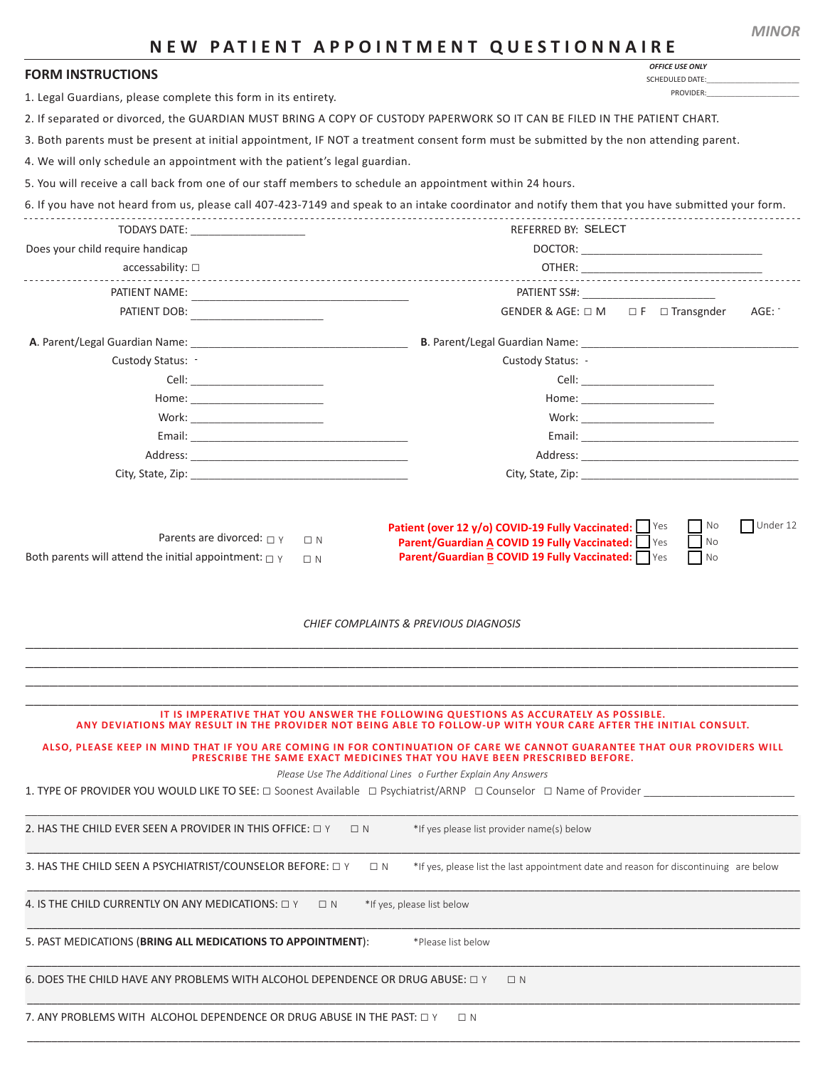|                                                                                                                   | <b>FAILD REFUINTMENT QUESTIONNAINE</b><br><b>OFFICE USE ONLY</b>                                                                                                                                       |
|-------------------------------------------------------------------------------------------------------------------|--------------------------------------------------------------------------------------------------------------------------------------------------------------------------------------------------------|
| <b>FORM INSTRUCTIONS</b>                                                                                          | <b>SCHEDULED DATE:</b>                                                                                                                                                                                 |
| 1. Legal Guardians, please complete this form in its entirety.                                                    | PROVIDER:                                                                                                                                                                                              |
|                                                                                                                   | 2. If separated or divorced, the GUARDIAN MUST BRING A COPY OF CUSTODY PAPERWORK SO IT CAN BE FILED IN THE PATIENT CHART.                                                                              |
|                                                                                                                   | 3. Both parents must be present at initial appointment, IF NOT a treatment consent form must be submitted by the non attending parent.                                                                 |
| 4. We will only schedule an appointment with the patient's legal guardian.                                        |                                                                                                                                                                                                        |
| 5. You will receive a call back from one of our staff members to schedule an appointment within 24 hours.         |                                                                                                                                                                                                        |
|                                                                                                                   | 6. If you have not heard from us, please call 407-423-7149 and speak to an intake coordinator and notify them that you have submitted your form.                                                       |
| TODAYS DATE: TODAYS DATE:                                                                                         | <b>REFERRED BY: SELECT</b>                                                                                                                                                                             |
| Does your child require handicap                                                                                  |                                                                                                                                                                                                        |
| $accessability: \Box$                                                                                             |                                                                                                                                                                                                        |
|                                                                                                                   |                                                                                                                                                                                                        |
| PATIENT NAME:                                                                                                     | GENDER & AGE: □ M □ F □ Transgnder                                                                                                                                                                     |
|                                                                                                                   | AGE:                                                                                                                                                                                                   |
|                                                                                                                   |                                                                                                                                                                                                        |
| Custody Status: -                                                                                                 | Custody Status: -                                                                                                                                                                                      |
|                                                                                                                   |                                                                                                                                                                                                        |
|                                                                                                                   |                                                                                                                                                                                                        |
| Work: ___________________________                                                                                 | Work: _________________________                                                                                                                                                                        |
|                                                                                                                   |                                                                                                                                                                                                        |
|                                                                                                                   |                                                                                                                                                                                                        |
| City, State, Zip: The City of State of The City, State, Zip:                                                      | City, State, Zip: The City of the City, State, Zip:                                                                                                                                                    |
|                                                                                                                   | <b>CHIEF COMPLAINTS &amp; PREVIOUS DIAGNOSIS</b>                                                                                                                                                       |
|                                                                                                                   |                                                                                                                                                                                                        |
|                                                                                                                   | IT IS IMPERATIVE THAT YOU ANSWER THE FOLLOWING QUESTIONS AS ACCURATELY AS POSSIBLE.<br>ANY DEVIATIONS MAY RESULT IN THE PROVIDER NOT BEING ABLE TO FOLLOW-UP WITH YOUR CARE AFTER THE INITIAL CONSULT. |
|                                                                                                                   | ALSO, PLEASE KEEP IN MIND THAT IF YOU ARE COMING IN FOR CONTINUATION OF CARE WE CANNOT GUARANTEE THAT OUR PROVIDERS WILL<br>PRESCRIBE THE SAME EXACT MEDICINES THAT YOU HAVE BEEN PRESCRIBED BEFORE.   |
| 1. TYPE OF PROVIDER YOU WOULD LIKE TO SEE: □ Soonest Available □ Psychiatrist/ARNP □ Counselor □ Name of Provider | Please Use The Additional Lines o Further Explain Any Answers                                                                                                                                          |
| 2. HAS THE CHILD EVER SEEN A PROVIDER IN THIS OFFICE: $\Box$ Y                                                    | *If yes please list provider name(s) below<br>$\Box N$                                                                                                                                                 |
| 3. HAS THE CHILD SEEN A PSYCHIATRIST/COUNSELOR BEFORE: $\Box$ Y                                                   | $\Box$ N<br>*If yes, please list the last appointment date and reason for discontinuing are below                                                                                                      |
| 4. IS THE CHILD CURRENTLY ON ANY MEDICATIONS: $\Box$ Y<br>$\Box N$                                                | *If yes, please list below                                                                                                                                                                             |
| 5. PAST MEDICATIONS (BRING ALL MEDICATIONS TO APPOINTMENT):                                                       | *Please list below                                                                                                                                                                                     |
| 6. DOES THE CHILD HAVE ANY PROBLEMS WITH ALCOHOL DEPENDENCE OR DRUG ABUSE: $\Box$ Y                               | $\Box N$                                                                                                                                                                                               |
| 7. ANY PROBLEMS WITH ALCOHOL DEPENDENCE OR DRUG ABUSE IN THE PAST: $\Box$ Y                                       | $\Box$ N                                                                                                                                                                                               |

## **NEW PATIENT APPOINTMENT OUESTIONNAIRE**

*MINOR*